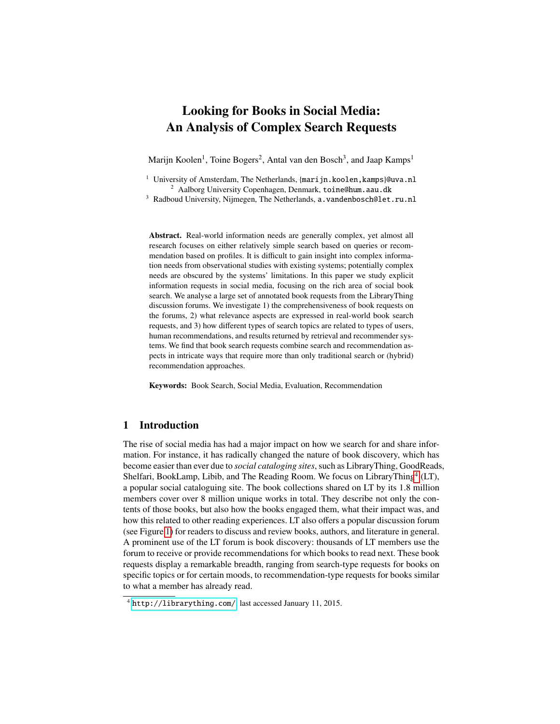# Looking for Books in Social Media: An Analysis of Complex Search Requests

Marijn Koolen<sup>1</sup>, Toine Bogers<sup>2</sup>, Antal van den Bosch<sup>3</sup>, and Jaap Kamps<sup>1</sup>

- <sup>1</sup> University of Amsterdam, The Netherlands, {marijn.koolen, kamps}@uva.nl <sup>2</sup> Aalborg University Copenhagen, Denmark, toine@hum.aau.dk
- <sup>3</sup> Radboud University, Nijmegen, The Netherlands, a.vandenbosch@let.ru.nl

Abstract. Real-world information needs are generally complex, yet almost all research focuses on either relatively simple search based on queries or recommendation based on profiles. It is difficult to gain insight into complex information needs from observational studies with existing systems; potentially complex needs are obscured by the systems' limitations. In this paper we study explicit information requests in social media, focusing on the rich area of social book search. We analyse a large set of annotated book requests from the LibraryThing discussion forums. We investigate 1) the comprehensiveness of book requests on the forums, 2) what relevance aspects are expressed in real-world book search requests, and 3) how different types of search topics are related to types of users, human recommendations, and results returned by retrieval and recommender systems. We find that book search requests combine search and recommendation aspects in intricate ways that require more than only traditional search or (hybrid) recommendation approaches.

Keywords: Book Search, Social Media, Evaluation, Recommendation

# 1 Introduction

The rise of social media has had a major impact on how we search for and share information. For instance, it has radically changed the nature of book discovery, which has become easier than ever due to *social cataloging sites*, such as LibraryThing, GoodReads, Shelfari, BookLamp, Libib, and The Reading Room. We focus on LibraryThing<sup>[4](#page-0-0)</sup> (LT), a popular social cataloguing site. The book collections shared on LT by its 1.8 million members cover over 8 million unique works in total. They describe not only the contents of those books, but also how the books engaged them, what their impact was, and how this related to other reading experiences. LT also offers a popular discussion forum (see Figure [1\)](#page-2-0) for readers to discuss and review books, authors, and literature in general. A prominent use of the LT forum is book discovery: thousands of LT members use the forum to receive or provide recommendations for which books to read next. These book requests display a remarkable breadth, ranging from search-type requests for books on specific topics or for certain moods, to recommendation-type requests for books similar to what a member has already read.

<span id="page-0-0"></span><sup>4</sup> <http://librarything.com/>, last accessed January 11, 2015.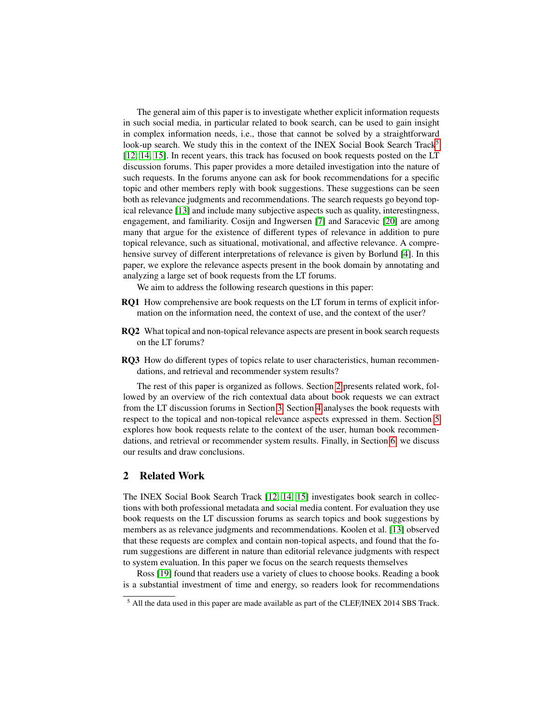The general aim of this paper is to investigate whether explicit information requests in such social media, in particular related to book search, can be used to gain insight in complex information needs, i.e., those that cannot be solved by a straightforward look-up search. We study this in the context of the INEX Social Book Search Track<sup>[5](#page-1-0)</sup> [\[12,](#page-11-0) [14,](#page-11-1) [15\]](#page-11-2). In recent years, this track has focused on book requests posted on the LT discussion forums. This paper provides a more detailed investigation into the nature of such requests. In the forums anyone can ask for book recommendations for a specific topic and other members reply with book suggestions. These suggestions can be seen both as relevance judgments and recommendations. The search requests go beyond topical relevance [\[13\]](#page-11-3) and include many subjective aspects such as quality, interestingness, engagement, and familiarity. Cosijn and Ingwersen [\[7\]](#page-11-4) and Saracevic [\[20\]](#page-11-5) are among many that argue for the existence of different types of relevance in addition to pure topical relevance, such as situational, motivational, and affective relevance. A comprehensive survey of different interpretations of relevance is given by Borlund [\[4\]](#page-11-6). In this paper, we explore the relevance aspects present in the book domain by annotating and analyzing a large set of book requests from the LT forums.

We aim to address the following research questions in this paper:

- RQ1 How comprehensive are book requests on the LT forum in terms of explicit information on the information need, the context of use, and the context of the user?
- RQ2 What topical and non-topical relevance aspects are present in book search requests on the LT forums?
- RQ3 How do different types of topics relate to user characteristics, human recommendations, and retrieval and recommender system results?

The rest of this paper is organized as follows. Section [2](#page-1-1) presents related work, followed by an overview of the rich contextual data about book requests we can extract from the LT discussion forums in Section [3.](#page-2-1) Section [4](#page-3-0) analyses the book requests with respect to the topical and non-topical relevance aspects expressed in them. Section [5](#page-6-0) explores how book requests relate to the context of the user, human book recommendations, and retrieval or recommender system results. Finally, in Section [6,](#page-10-0) we discuss our results and draw conclusions.

# <span id="page-1-1"></span>2 Related Work

The INEX Social Book Search Track [\[12,](#page-11-0) [14,](#page-11-1) [15\]](#page-11-2) investigates book search in collections with both professional metadata and social media content. For evaluation they use book requests on the LT discussion forums as search topics and book suggestions by members as as relevance judgments and recommendations. Koolen et al. [\[13\]](#page-11-3) observed that these requests are complex and contain non-topical aspects, and found that the forum suggestions are different in nature than editorial relevance judgments with respect to system evaluation. In this paper we focus on the search requests themselves

Ross [\[19\]](#page-11-7) found that readers use a variety of clues to choose books. Reading a book is a substantial investment of time and energy, so readers look for recommendations

<span id="page-1-0"></span> $<sup>5</sup>$  All the data used in this paper are made available as part of the CLEF/INEX 2014 SBS Track.</sup>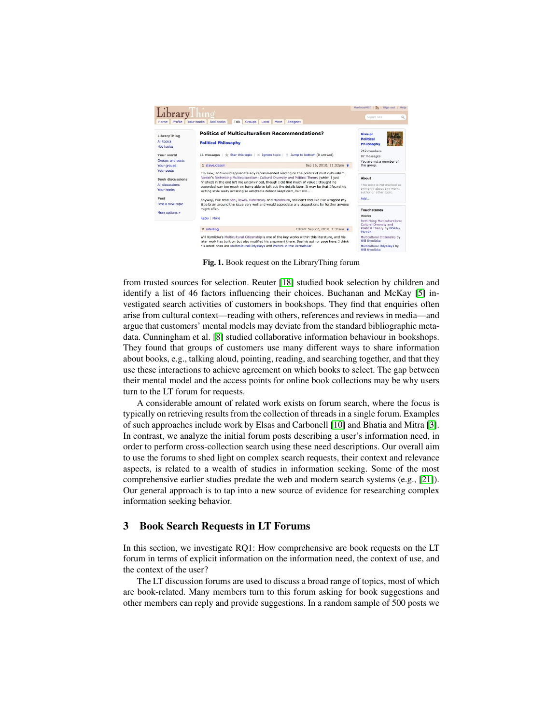

Fig. 1. Book request on the LibraryThing forum

<span id="page-2-0"></span>from trusted sources for selection. Reuter [\[18\]](#page-11-8) studied book selection by children and identify a list of 46 factors influencing their choices. Buchanan and McKay [\[5\]](#page-11-9) investigated search activities of customers in bookshops. They find that enquiries often arise from cultural context—reading with others, references and reviews in media—and argue that customers' mental models may deviate from the standard bibliographic metadata. Cunningham et al. [\[8\]](#page-11-10) studied collaborative information behaviour in bookshops. They found that groups of customers use many different ways to share information about books, e.g., talking aloud, pointing, reading, and searching together, and that they use these interactions to achieve agreement on which books to select. The gap between their mental model and the access points for online book collections may be why users turn to the LT forum for requests.

A considerable amount of related work exists on forum search, where the focus is typically on retrieving results from the collection of threads in a single forum. Examples of such approaches include work by Elsas and Carbonell [\[10\]](#page-11-11) and Bhatia and Mitra [\[3\]](#page-11-12). In contrast, we analyze the initial forum posts describing a user's information need, in order to perform cross-collection search using these need descriptions. Our overall aim to use the forums to shed light on complex search requests, their context and relevance aspects, is related to a wealth of studies in information seeking. Some of the most comprehensive earlier studies predate the web and modern search systems (e.g., [\[21\]](#page-11-13)). Our general approach is to tap into a new source of evidence for researching complex information seeking behavior.

## <span id="page-2-1"></span>3 Book Search Requests in LT Forums

In this section, we investigate RQ1: How comprehensive are book requests on the LT forum in terms of explicit information on the information need, the context of use, and the context of the user?

The LT discussion forums are used to discuss a broad range of topics, most of which are book-related. Many members turn to this forum asking for book suggestions and other members can reply and provide suggestions. In a random sample of 500 posts we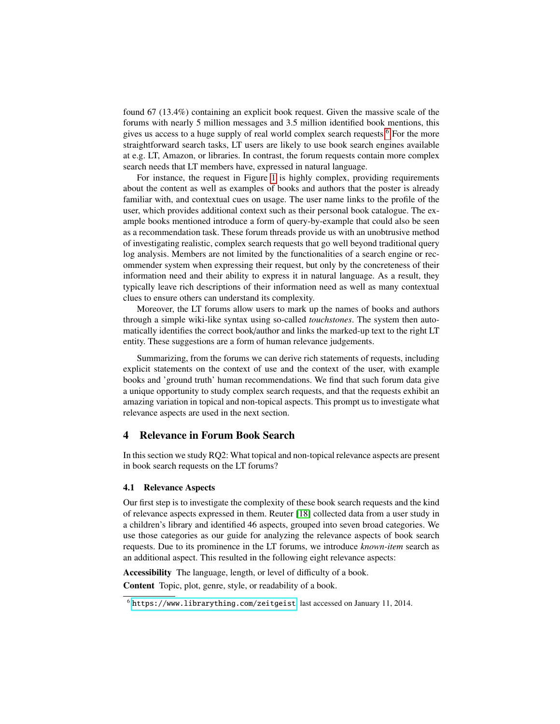found 67 (13.4%) containing an explicit book request. Given the massive scale of the forums with nearly 5 million messages and 3.5 million identified book mentions, this gives us access to a huge supply of real world complex search requests.<sup>[6](#page-3-1)</sup> For the more straightforward search tasks, LT users are likely to use book search engines available at e.g. LT, Amazon, or libraries. In contrast, the forum requests contain more complex search needs that LT members have, expressed in natural language.

For instance, the request in Figure [1](#page-2-0) is highly complex, providing requirements about the content as well as examples of books and authors that the poster is already familiar with, and contextual cues on usage. The user name links to the profile of the user, which provides additional context such as their personal book catalogue. The example books mentioned introduce a form of query-by-example that could also be seen as a recommendation task. These forum threads provide us with an unobtrusive method of investigating realistic, complex search requests that go well beyond traditional query log analysis. Members are not limited by the functionalities of a search engine or recommender system when expressing their request, but only by the concreteness of their information need and their ability to express it in natural language. As a result, they typically leave rich descriptions of their information need as well as many contextual clues to ensure others can understand its complexity.

Moreover, the LT forums allow users to mark up the names of books and authors through a simple wiki-like syntax using so-called *touchstones*. The system then automatically identifies the correct book/author and links the marked-up text to the right LT entity. These suggestions are a form of human relevance judgements.

Summarizing, from the forums we can derive rich statements of requests, including explicit statements on the context of use and the context of the user, with example books and 'ground truth' human recommendations. We find that such forum data give a unique opportunity to study complex search requests, and that the requests exhibit an amazing variation in topical and non-topical aspects. This prompt us to investigate what relevance aspects are used in the next section.

# <span id="page-3-0"></span>4 Relevance in Forum Book Search

In this section we study RQ2: What topical and non-topical relevance aspects are present in book search requests on the LT forums?

## 4.1 Relevance Aspects

Our first step is to investigate the complexity of these book search requests and the kind of relevance aspects expressed in them. Reuter [\[18\]](#page-11-8) collected data from a user study in a children's library and identified 46 aspects, grouped into seven broad categories. We use those categories as our guide for analyzing the relevance aspects of book search requests. Due to its prominence in the LT forums, we introduce *known-item* search as an additional aspect. This resulted in the following eight relevance aspects:

Accessibility The language, length, or level of difficulty of a book.

Content Topic, plot, genre, style, or readability of a book.

<span id="page-3-1"></span><sup>6</sup> [https://www.librarything.com/zeitgeist](https://www.librarything.com/zeitgeist ), last accessed on January 11, 2014.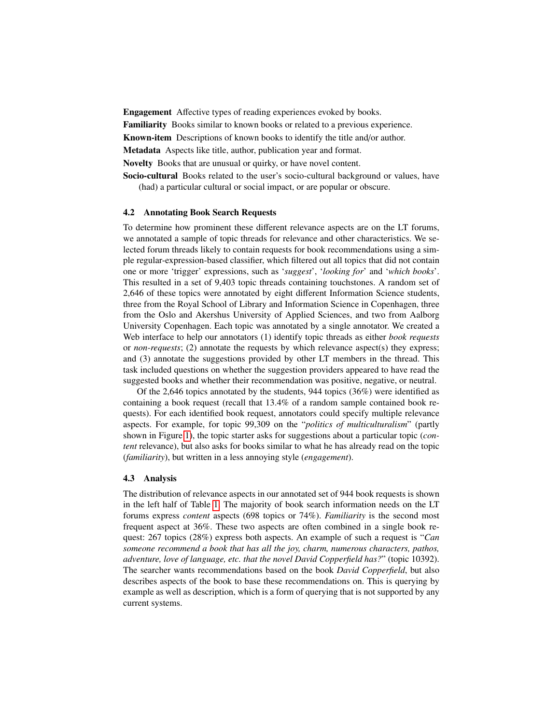Engagement Affective types of reading experiences evoked by books. Familiarity Books similar to known books or related to a previous experience. Known-item Descriptions of known books to identify the title and/or author. Metadata Aspects like title, author, publication year and format. Novelty Books that are unusual or quirky, or have novel content. Socio-cultural Books related to the user's socio-cultural background or values, have

(had) a particular cultural or social impact, or are popular or obscure.

#### 4.2 Annotating Book Search Requests

To determine how prominent these different relevance aspects are on the LT forums, we annotated a sample of topic threads for relevance and other characteristics. We selected forum threads likely to contain requests for book recommendations using a simple regular-expression-based classifier, which filtered out all topics that did not contain one or more 'trigger' expressions, such as '*suggest*', '*looking for*' and '*which books*'. This resulted in a set of 9,403 topic threads containing touchstones. A random set of 2,646 of these topics were annotated by eight different Information Science students, three from the Royal School of Library and Information Science in Copenhagen, three from the Oslo and Akershus University of Applied Sciences, and two from Aalborg University Copenhagen. Each topic was annotated by a single annotator. We created a Web interface to help our annotators (1) identify topic threads as either *book requests* or *non-requests*; (2) annotate the requests by which relevance aspect(s) they express; and (3) annotate the suggestions provided by other LT members in the thread. This task included questions on whether the suggestion providers appeared to have read the suggested books and whether their recommendation was positive, negative, or neutral.

Of the 2,646 topics annotated by the students, 944 topics (36%) were identified as containing a book request (recall that 13.4% of a random sample contained book requests). For each identified book request, annotators could specify multiple relevance aspects. For example, for topic 99,309 on the "*politics of multiculturalism*" (partly shown in Figure [1\)](#page-2-0), the topic starter asks for suggestions about a particular topic (*content* relevance), but also asks for books similar to what he has already read on the topic (*familiarity*), but written in a less annoying style (*engagement*).

#### 4.3 Analysis

The distribution of relevance aspects in our annotated set of 944 book requests is shown in the left half of Table [1.](#page-5-0) The majority of book search information needs on the LT forums express *content* aspects (698 topics or 74%). *Familiarity* is the second most frequent aspect at 36%. These two aspects are often combined in a single book request: 267 topics (28%) express both aspects. An example of such a request is "*Can someone recommend a book that has all the joy, charm, numerous characters, pathos, adventure, love of language, etc. that the novel David Copperfield has?*" (topic 10392). The searcher wants recommendations based on the book *David Copperfield*, but also describes aspects of the book to base these recommendations on. This is querying by example as well as description, which is a form of querying that is not supported by any current systems.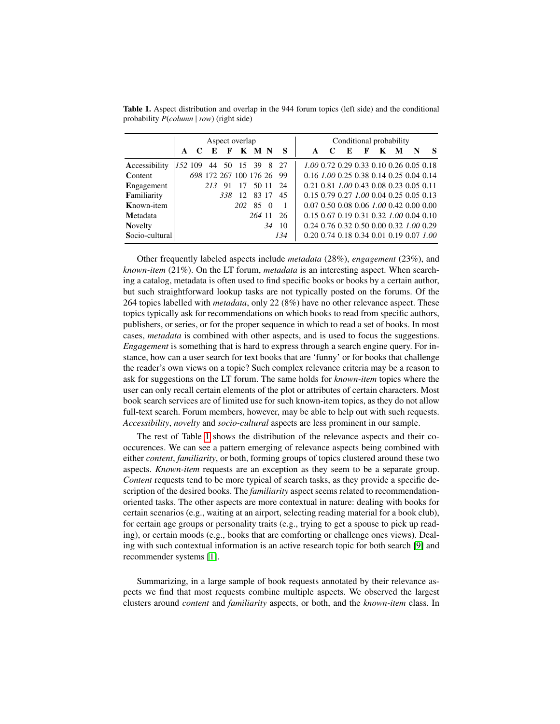|                                         | Aspect overlap |  |                           |  |  |          |  |                 | Conditional probability |                                                         |  |  |  |  |  |
|-----------------------------------------|----------------|--|---------------------------|--|--|----------|--|-----------------|-------------------------|---------------------------------------------------------|--|--|--|--|--|
|                                         |                |  |                           |  |  |          |  | A C E F K M N S |                         | A C E F K M N S                                         |  |  |  |  |  |
| Accessibility  152 109 44 50 15 39 8 27 |                |  |                           |  |  |          |  |                 |                         | 1.00 0.72 0.29 0.33 0.10 0.26 0.05 0.18                 |  |  |  |  |  |
| Content                                 |                |  | 698 172 267 100 176 26 99 |  |  |          |  |                 |                         | 0.16 1.00 0.25 0.38 0.14 0.25 0.04 0.14                 |  |  |  |  |  |
| Engagement                              |                |  | 213 91 17 50 11 24        |  |  |          |  |                 |                         | 0.21 0.81 1.00 0.43 0.08 0.23 0.05 0.11                 |  |  |  |  |  |
| Familiarity                             |                |  |                           |  |  |          |  | 338 12 83 17 45 |                         | 0.15 0.79 0.27 1.00 0.04 0.25 0.05 0.13                 |  |  |  |  |  |
| Known-item                              |                |  |                           |  |  | 202 85 0 |  |                 |                         | $0.07$ $0.50$ $0.08$ $0.06$ $1.00$ $0.42$ $0.00$ $0.00$ |  |  |  |  |  |

Metadata *264* 11 26 0.15 0.67 0.19 0.31 0.32 *1.00* 0.04 0.10 Novelty **34** 10 0.24 0.76 0.32 0.50 0.00 0.32 1.00 0.29 Socio-cultural *134* 0.20 0.74 0.18 0.34 0.01 0.19 0.07 *1.00* 

<span id="page-5-0"></span>Table 1. Aspect distribution and overlap in the 944 forum topics (left side) and the conditional probability *P*(*column* | *row*) (right side)

Other frequently labeled aspects include *metadata* (28%), *engagement* (23%), and *known-item* (21%). On the LT forum, *metadata* is an interesting aspect. When searching a catalog, metadata is often used to find specific books or books by a certain author, but such straightforward lookup tasks are not typically posted on the forums. Of the 264 topics labelled with *metadata*, only 22 (8%) have no other relevance aspect. These topics typically ask for recommendations on which books to read from specific authors, publishers, or series, or for the proper sequence in which to read a set of books. In most cases, *metadata* is combined with other aspects, and is used to focus the suggestions. *Engagement* is something that is hard to express through a search engine query. For instance, how can a user search for text books that are 'funny' or for books that challenge the reader's own views on a topic? Such complex relevance criteria may be a reason to ask for suggestions on the LT forum. The same holds for *known-item* topics where the user can only recall certain elements of the plot or attributes of certain characters. Most book search services are of limited use for such known-item topics, as they do not allow full-text search. Forum members, however, may be able to help out with such requests. *Accessibility*, *novelty* and *socio-cultural* aspects are less prominent in our sample.

The rest of Table [1](#page-5-0) shows the distribution of the relevance aspects and their cooccurences. We can see a pattern emerging of relevance aspects being combined with either *content*, *familiarity*, or both, forming groups of topics clustered around these two aspects. *Known-item* requests are an exception as they seem to be a separate group. *Content* requests tend to be more typical of search tasks, as they provide a specific description of the desired books. The *familiarity* aspect seems related to recommendationoriented tasks. The other aspects are more contextual in nature: dealing with books for certain scenarios (e.g., waiting at an airport, selecting reading material for a book club), for certain age groups or personality traits (e.g., trying to get a spouse to pick up reading), or certain moods (e.g., books that are comforting or challenge ones views). Dealing with such contextual information is an active research topic for both search [\[9\]](#page-11-14) and recommender systems [\[1\]](#page-11-15).

Summarizing, in a large sample of book requests annotated by their relevance aspects we find that most requests combine multiple aspects. We observed the largest clusters around *content* and *familiarity* aspects, or both, and the *known-item* class. In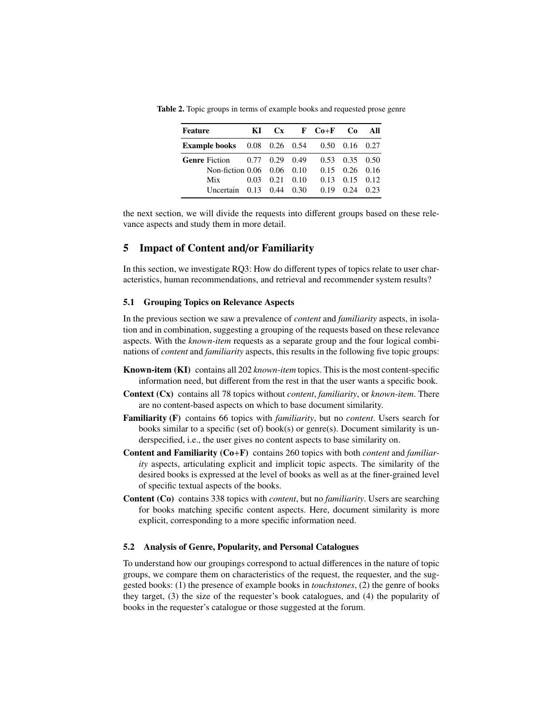<span id="page-6-1"></span>

| Feature                                   | KТ   | $\mathbf{C}\mathbf{x}$ |      | $F$ Co+F | C <sub>0</sub>    | AII  |
|-------------------------------------------|------|------------------------|------|----------|-------------------|------|
| <b>Example books</b> $0.08$ $0.26$ $0.54$ |      |                        |      | 0.50     | $0.16 \quad 0.27$ |      |
| <b>Genre</b> Fiction $0.77$ 0.29 0.49     |      |                        |      | 0.53     | $0.35 \quad 0.50$ |      |
| Non-fiction 0.06 0.06 0.10                |      |                        |      |          | 0.15 0.26 0.16    |      |
| Mix                                       | 0.03 | 0.21                   | O 10 | 0.13     | 0.15              | 0.12 |
| Uncertain                                 |      | $0.13 \quad 0.44$      | 0.30 | (119     | 0.24              | 0.23 |

Table 2. Topic groups in terms of example books and requested prose genre

the next section, we will divide the requests into different groups based on these relevance aspects and study them in more detail.

# <span id="page-6-0"></span>5 Impact of Content and/or Familiarity

In this section, we investigate RQ3: How do different types of topics relate to user characteristics, human recommendations, and retrieval and recommender system results?

## 5.1 Grouping Topics on Relevance Aspects

In the previous section we saw a prevalence of *content* and *familiarity* aspects, in isolation and in combination, suggesting a grouping of the requests based on these relevance aspects. With the *known-item* requests as a separate group and the four logical combinations of *content* and *familiarity* aspects, this results in the following five topic groups:

- Known-item (KI) contains all 202 *known-item* topics. This is the most content-specific information need, but different from the rest in that the user wants a specific book.
- Context (Cx) contains all 78 topics without *content*, *familiarity*, or *known-item*. There are no content-based aspects on which to base document similarity.
- Familiarity (F) contains 66 topics with *familiarity*, but no *content*. Users search for books similar to a specific (set of) book(s) or genre(s). Document similarity is underspecified, i.e., the user gives no content aspects to base similarity on.
- Content and Familiarity (Co+F) contains 260 topics with both *content* and *familiarity* aspects, articulating explicit and implicit topic aspects. The similarity of the desired books is expressed at the level of books as well as at the finer-grained level of specific textual aspects of the books.
- Content (Co) contains 338 topics with *content*, but no *familiarity*. Users are searching for books matching specific content aspects. Here, document similarity is more explicit, corresponding to a more specific information need.

### 5.2 Analysis of Genre, Popularity, and Personal Catalogues

To understand how our groupings correspond to actual differences in the nature of topic groups, we compare them on characteristics of the request, the requester, and the suggested books: (1) the presence of example books in *touchstones*, (2) the genre of books they target, (3) the size of the requester's book catalogues, and (4) the popularity of books in the requester's catalogue or those suggested at the forum.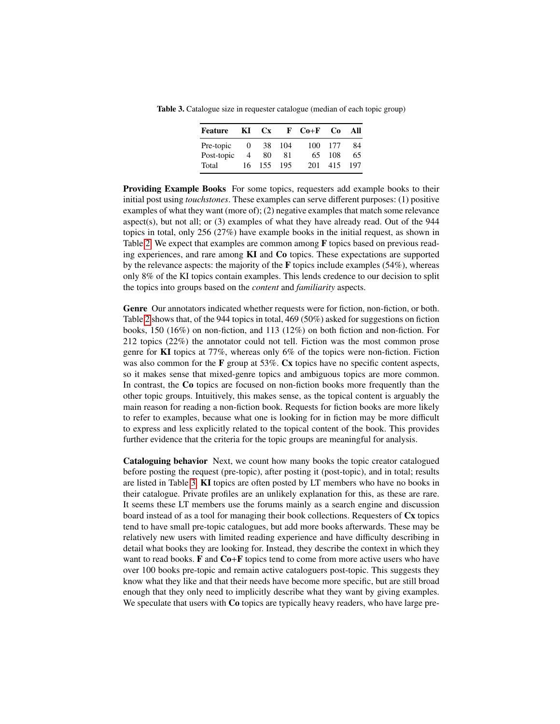Table 3. Catalogue size in requester catalogue (median of each topic group)

<span id="page-7-0"></span>

| Feature       | KI        | $C_{\rm X}$ |        | $F$ Co+F | Co.     | All |
|---------------|-----------|-------------|--------|----------|---------|-----|
| Pre-topic $0$ |           |             | 38 104 |          | 100 177 | 84  |
| Post-topic    | $4 \quad$ | 80          | -81    | 65       | 108     | 65  |
| Total         |           | 16 155      | 195    | 201      | 415     | 197 |

Providing Example Books For some topics, requesters add example books to their initial post using *touchstones*. These examples can serve different purposes: (1) positive examples of what they want (more of); (2) negative examples that match some relevance aspect(s), but not all; or (3) examples of what they have already read. Out of the 944 topics in total, only 256 (27%) have example books in the initial request, as shown in Table [2.](#page-6-1) We expect that examples are common among F topics based on previous reading experiences, and rare among KI and Co topics. These expectations are supported by the relevance aspects: the majority of the  $\bf{F}$  topics include examples (54%), whereas only 8% of the KI topics contain examples. This lends credence to our decision to split the topics into groups based on the *content* and *familiarity* aspects.

Genre Our annotators indicated whether requests were for fiction, non-fiction, or both. Table [2](#page-6-1) shows that, of the 944 topics in total, 469 (50%) asked for suggestions on fiction books, 150 (16%) on non-fiction, and 113 (12%) on both fiction and non-fiction. For 212 topics (22%) the annotator could not tell. Fiction was the most common prose genre for KI topics at 77%, whereas only 6% of the topics were non-fiction. Fiction was also common for the  $\bf{F}$  group at 53%. Cx topics have no specific content aspects, so it makes sense that mixed-genre topics and ambiguous topics are more common. In contrast, the Co topics are focused on non-fiction books more frequently than the other topic groups. Intuitively, this makes sense, as the topical content is arguably the main reason for reading a non-fiction book. Requests for fiction books are more likely to refer to examples, because what one is looking for in fiction may be more difficult to express and less explicitly related to the topical content of the book. This provides further evidence that the criteria for the topic groups are meaningful for analysis.

Cataloguing behavior Next, we count how many books the topic creator catalogued before posting the request (pre-topic), after posting it (post-topic), and in total; results are listed in Table [3.](#page-7-0) KI topics are often posted by LT members who have no books in their catalogue. Private profiles are an unlikely explanation for this, as these are rare. It seems these LT members use the forums mainly as a search engine and discussion board instead of as a tool for managing their book collections. Requesters of Cx topics tend to have small pre-topic catalogues, but add more books afterwards. These may be relatively new users with limited reading experience and have difficulty describing in detail what books they are looking for. Instead, they describe the context in which they want to read books.  $\bf{F}$  and  $\bf{C}$ o+ $\bf{F}$  topics tend to come from more active users who have over 100 books pre-topic and remain active cataloguers post-topic. This suggests they know what they like and that their needs have become more specific, but are still broad enough that they only need to implicitly describe what they want by giving examples. We speculate that users with Co topics are typically heavy readers, who have large pre-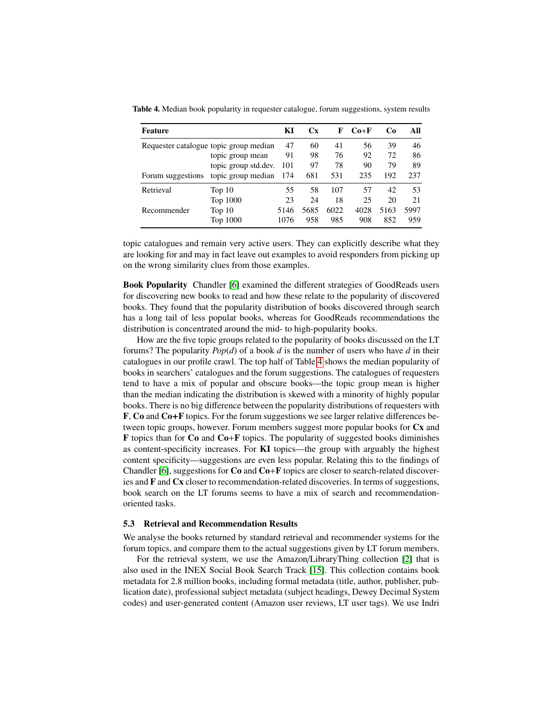| Feature                                |                      | KІ   | Cx   | F    | $Co + F$ | Co.  | All  |
|----------------------------------------|----------------------|------|------|------|----------|------|------|
| Requester catalogue topic group median | 47                   | 60   | 41   | 56   | 39       | 46   |      |
|                                        | topic group mean     | 91   | 98   | 76   | 92       | 72   | 86   |
|                                        | topic group std.dev. | 101  | 97   | 78   | 90       | 79   | 89   |
| Forum suggestions                      | topic group median   | 174  | 681  | 531  | 235      | 192  | 237  |
| Retrieval                              | Top <sub>10</sub>    | 55   | 58   | 107  | 57       | 42   | 53   |
|                                        | Top 1000             | 23   | 24   | 18   | 25       | 20   | 21   |
| Recommender                            | Top $10$             | 5146 | 5685 | 6022 | 4028     | 5163 | 5997 |
|                                        | Top 1000             | 1076 | 958  | 985  | 908      | 852  | 959  |

<span id="page-8-0"></span>Table 4. Median book popularity in requester catalogue, forum suggestions, system results

topic catalogues and remain very active users. They can explicitly describe what they are looking for and may in fact leave out examples to avoid responders from picking up on the wrong similarity clues from those examples.

Book Popularity Chandler [\[6\]](#page-11-16) examined the different strategies of GoodReads users for discovering new books to read and how these relate to the popularity of discovered books. They found that the popularity distribution of books discovered through search has a long tail of less popular books, whereas for GoodReads recommendations the distribution is concentrated around the mid- to high-popularity books.

How are the five topic groups related to the popularity of books discussed on the LT forums? The popularity *Pop*(*d*) of a book *d* is the number of users who have *d* in their catalogues in our profile crawl. The top half of Table [4](#page-8-0) shows the median popularity of books in searchers' catalogues and the forum suggestions. The catalogues of requesters tend to have a mix of popular and obscure books—the topic group mean is higher than the median indicating the distribution is skewed with a minority of highly popular books. There is no big difference between the popularity distributions of requesters with F, Co and Co+F topics. For the forum suggestions we see larger relative differences between topic groups, however. Forum members suggest more popular books for Cx and **F** topics than for  $Co$  and  $Co + F$  topics. The popularity of suggested books diminishes as content-specificity increases. For KI topics—the group with arguably the highest content specificity—suggestions are even less popular. Relating this to the findings of Chandler [\[6\]](#page-11-16), suggestions for  $Co$  and  $Co+F$  topics are closer to search-related discoveries and  $\bf{F}$  and  $\bf{Cx}$  closer to recommendation-related discoveries. In terms of suggestions, book search on the LT forums seems to have a mix of search and recommendationoriented tasks.

#### 5.3 Retrieval and Recommendation Results

We analyse the books returned by standard retrieval and recommender systems for the forum topics, and compare them to the actual suggestions given by LT forum members.

For the retrieval system, we use the Amazon/LibraryThing collection [\[2\]](#page-11-17) that is also used in the INEX Social Book Search Track [\[15\]](#page-11-2). This collection contains book metadata for 2.8 million books, including formal metadata (title, author, publisher, publication date), professional subject metadata (subject headings, Dewey Decimal System codes) and user-generated content (Amazon user reviews, LT user tags). We use Indri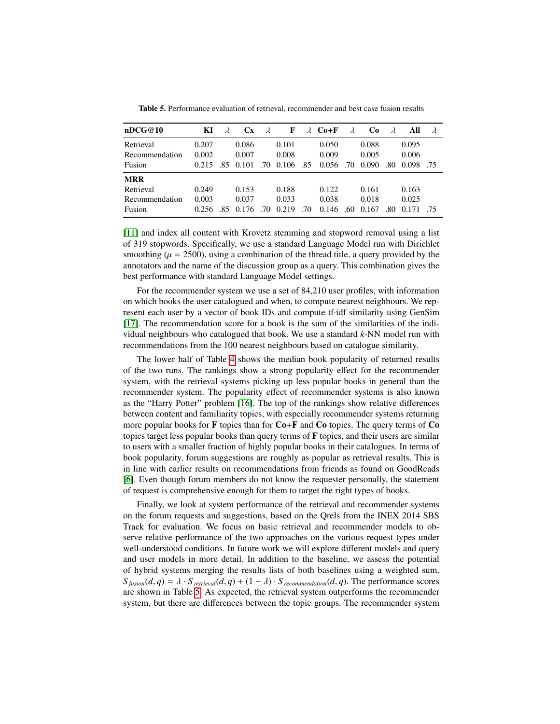| nDCG@10        | KІ    |     | <b>Cx</b> | $\lambda$ | F     |     | $\lambda$ Co+F | $\lambda$ | Co    |     | All   |     |
|----------------|-------|-----|-----------|-----------|-------|-----|----------------|-----------|-------|-----|-------|-----|
| Retrieval      | 0.207 |     | 0.086     |           | 0.101 |     | 0.050          |           | 0.088 |     | 0.095 |     |
| Recommendation | 0.002 |     | 0.007     |           | 0.008 |     | 0.009          |           | 0.005 |     | 0.006 |     |
| Fusion         | 0.215 | .85 | 0.101     | -70       | 0.106 | .85 | 0.056          | .70       | 0.090 | .80 | 0.098 | .75 |
| <b>MRR</b>     |       |     |           |           |       |     |                |           |       |     |       |     |
| Retrieval      | 0.249 |     | 0.153     |           | 0.188 |     | 0.122          |           | 0.161 |     | 0.163 |     |
| Recommendation | 0.003 |     | 0.037     |           | 0.033 |     | 0.038          |           | 0.018 |     | 0.025 |     |
| Fusion         | 0.256 |     | 0.176     | 70        | 0.219 | .70 | 0.146          | .60       | 0.167 | .80 |       |     |

<span id="page-9-0"></span>Table 5. Performance evaluation of retrieval, recommender and best case fusion results

[\[11\]](#page-11-18) and index all content with Krovetz stemming and stopword removal using a list of 319 stopwords. Specifically, we use a standard Language Model run with Dirichlet smoothing ( $\mu = 2500$ ), using a combination of the thread title, a query provided by the annotators and the name of the discussion group as a query. This combination gives the best performance with standard Language Model settings.

For the recommender system we use a set of 84,210 user profiles, with information on which books the user catalogued and when, to compute nearest neighbours. We represent each user by a vector of book IDs and compute tf·idf similarity using GenSim [\[17\]](#page-11-19). The recommendation score for a book is the sum of the similarities of the individual neighbours who catalogued that book. We use a standard *k*-NN model run with recommendations from the 100 nearest neighbours based on catalogue similarity.

The lower half of Table [4](#page-8-0) shows the median book popularity of returned results of the two runs. The rankings show a strong popularity effect for the recommender system, with the retrieval systems picking up less popular books in general than the recommender system. The popularity effect of recommender systems is also known as the "Harry Potter" problem [\[16\]](#page-11-20). The top of the rankings show relative differences between content and familiarity topics, with especially recommender systems returning more popular books for  $\bf{F}$  topics than for  $\bf{Co}+\bf{F}$  and  $\bf{Co}$  topics. The query terms of  $\bf{Co}$ topics target less popular books than query terms of F topics, and their users are similar to users with a smaller fraction of highly popular books in their catalogues. In terms of book popularity, forum suggestions are roughly as popular as retrieval results. This is in line with earlier results on recommendations from friends as found on GoodReads [\[6\]](#page-11-16). Even though forum members do not know the requester personally, the statement of request is comprehensive enough for them to target the right types of books.

Finally, we look at system performance of the retrieval and recommender systems on the forum requests and suggestions, based on the Qrels from the INEX 2014 SBS Track for evaluation. We focus on basic retrieval and recommender models to observe relative performance of the two approaches on the various request types under well-understood conditions. In future work we will explore different models and query and user models in more detail. In addition to the baseline, we assess the potential of hybrid systems merging the results lists of both baselines using a weighted sum,  $S_{fusion}(d, q) = \lambda \cdot S_{retrieval}(d, q) + (1 - \lambda) \cdot S_{recommendation}(d, q)$ . The performance scores are shown in Table [5.](#page-9-0) As expected, the retrieval system outperforms the recommender system, but there are differences between the topic groups. The recommender system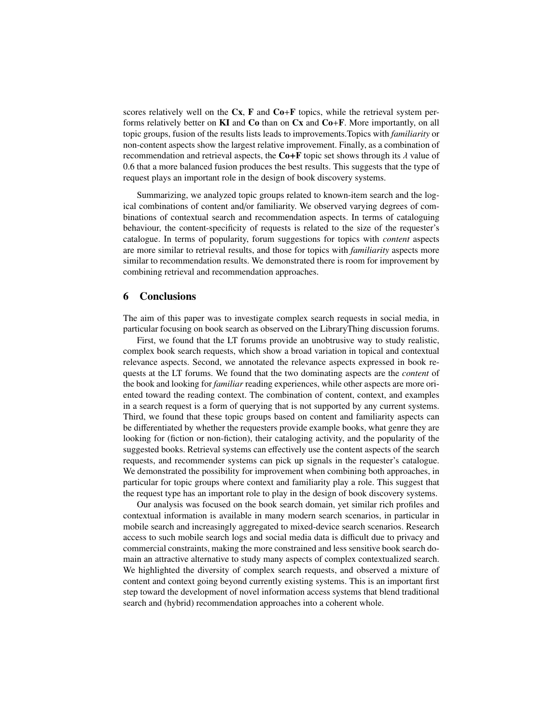scores relatively well on the  $Cx$ ,  $F$  and  $Co + F$  topics, while the retrieval system performs relatively better on KI and Co than on Cx and Co+F. More importantly, on all topic groups, fusion of the results lists leads to improvements.Topics with *familiarity* or non-content aspects show the largest relative improvement. Finally, as a combination of recommendation and retrieval aspects, the  $Co + F$  topic set shows through its  $\lambda$  value of 0.6 that a more balanced fusion produces the best results. This suggests that the type of request plays an important role in the design of book discovery systems.

Summarizing, we analyzed topic groups related to known-item search and the logical combinations of content and/or familiarity. We observed varying degrees of combinations of contextual search and recommendation aspects. In terms of cataloguing behaviour, the content-specificity of requests is related to the size of the requester's catalogue. In terms of popularity, forum suggestions for topics with *content* aspects are more similar to retrieval results, and those for topics with *familiarity* aspects more similar to recommendation results. We demonstrated there is room for improvement by combining retrieval and recommendation approaches.

## <span id="page-10-0"></span>6 Conclusions

The aim of this paper was to investigate complex search requests in social media, in particular focusing on book search as observed on the LibraryThing discussion forums.

First, we found that the LT forums provide an unobtrusive way to study realistic, complex book search requests, which show a broad variation in topical and contextual relevance aspects. Second, we annotated the relevance aspects expressed in book requests at the LT forums. We found that the two dominating aspects are the *content* of the book and looking for *familiar* reading experiences, while other aspects are more oriented toward the reading context. The combination of content, context, and examples in a search request is a form of querying that is not supported by any current systems. Third, we found that these topic groups based on content and familiarity aspects can be differentiated by whether the requesters provide example books, what genre they are looking for (fiction or non-fiction), their cataloging activity, and the popularity of the suggested books. Retrieval systems can effectively use the content aspects of the search requests, and recommender systems can pick up signals in the requester's catalogue. We demonstrated the possibility for improvement when combining both approaches, in particular for topic groups where context and familiarity play a role. This suggest that the request type has an important role to play in the design of book discovery systems.

Our analysis was focused on the book search domain, yet similar rich profiles and contextual information is available in many modern search scenarios, in particular in mobile search and increasingly aggregated to mixed-device search scenarios. Research access to such mobile search logs and social media data is difficult due to privacy and commercial constraints, making the more constrained and less sensitive book search domain an attractive alternative to study many aspects of complex contextualized search. We highlighted the diversity of complex search requests, and observed a mixture of content and context going beyond currently existing systems. This is an important first step toward the development of novel information access systems that blend traditional search and (hybrid) recommendation approaches into a coherent whole.